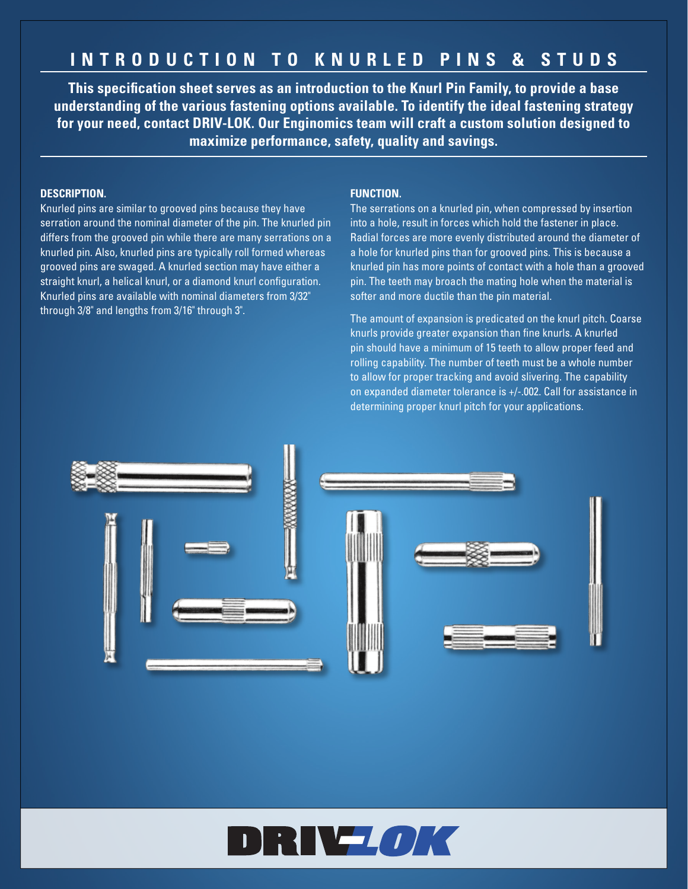## **INTRODUCTION TO KNURLED PINS & STUDS**

**This specification sheet serves as an introduction to the Knurl Pin Family, to provide a base understanding of the various fastening options available. To identify the ideal fastening strategy for your need, contact DRIV-LOK. Our Enginomics team will craft a custom solution designed to maximize performance, safety, quality and savings.**

## **DESCRIPTION.**

Knurled pins are similar to grooved pins because they have serration around the nominal diameter of the pin. The knurled pin differs from the grooved pin while there are many serrations on a knurled pin. Also, knurled pins are typically roll formed whereas grooved pins are swaged. A knurled section may have either a straight knurl, a helical knurl, or a diamond knurl configuration. Knurled pins are available with nominal diameters from 3/32" through 3/8" and lengths from 3/16" through 3".

## **FUNCTION.**

The serrations on a knurled pin, when compressed by insertion into a hole, result in forces which hold the fastener in place. Radial forces are more evenly distributed around the diameter of a hole for knurled pins than for grooved pins. This is because a knurled pin has more points of contact with a hole than a grooved pin. The teeth may broach the mating hole when the material is softer and more ductile than the pin material.

The amount of expansion is predicated on the knurl pitch. Coarse knurls provide greater expansion than fine knurls. A knurled pin should have a minimum of 15 teeth to allow proper feed and rolling capability. The number of teeth must be a whole number to allow for proper tracking and avoid slivering. The capability on expanded diameter tolerance is +/-.002. Call for assistance in determining proper knurl pitch for your applications.